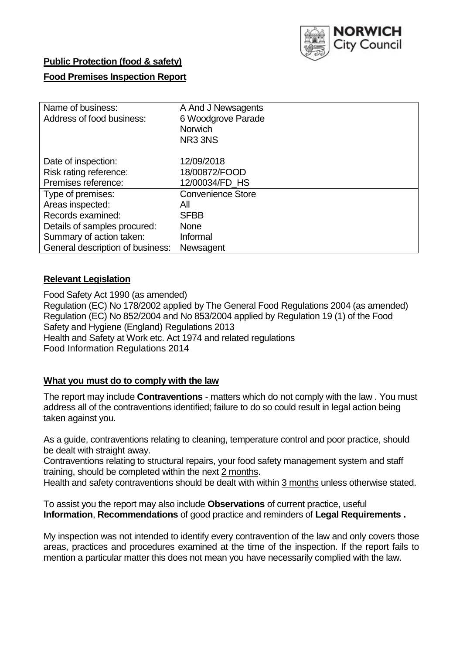

## **Public Protection (food & safety)**

## **Food Premises Inspection Report**

| Name of business:<br>Address of food business: | A And J Newsagents<br>6 Woodgrove Parade<br><b>Norwich</b><br>NR <sub>3</sub> 3N <sub>S</sub> |
|------------------------------------------------|-----------------------------------------------------------------------------------------------|
| Date of inspection:                            | 12/09/2018                                                                                    |
| Risk rating reference:                         | 18/00872/FOOD                                                                                 |
| Premises reference:                            | 12/00034/FD_HS                                                                                |
| Type of premises:                              | <b>Convenience Store</b>                                                                      |
| Areas inspected:                               | All                                                                                           |
| Records examined:                              | <b>SFBB</b>                                                                                   |
| Details of samples procured:                   | <b>None</b>                                                                                   |
| Summary of action taken:                       | Informal                                                                                      |
| General description of business:               | Newsagent                                                                                     |

## **Relevant Legislation**

Food Safety Act 1990 (as amended) Regulation (EC) No 178/2002 applied by The General Food Regulations 2004 (as amended) Regulation (EC) No 852/2004 and No 853/2004 applied by Regulation 19 (1) of the Food Safety and Hygiene (England) Regulations 2013 Health and Safety at Work etc. Act 1974 and related regulations Food Information Regulations 2014

## **What you must do to comply with the law**

The report may include **Contraventions** - matters which do not comply with the law . You must address all of the contraventions identified; failure to do so could result in legal action being taken against you.

As a guide, contraventions relating to cleaning, temperature control and poor practice, should be dealt with straight away.

Contraventions relating to structural repairs, your food safety management system and staff training, should be completed within the next 2 months.

Health and safety contraventions should be dealt with within 3 months unless otherwise stated.

To assist you the report may also include **Observations** of current practice, useful **Information**, **Recommendations** of good practice and reminders of **Legal Requirements .**

My inspection was not intended to identify every contravention of the law and only covers those areas, practices and procedures examined at the time of the inspection. If the report fails to mention a particular matter this does not mean you have necessarily complied with the law.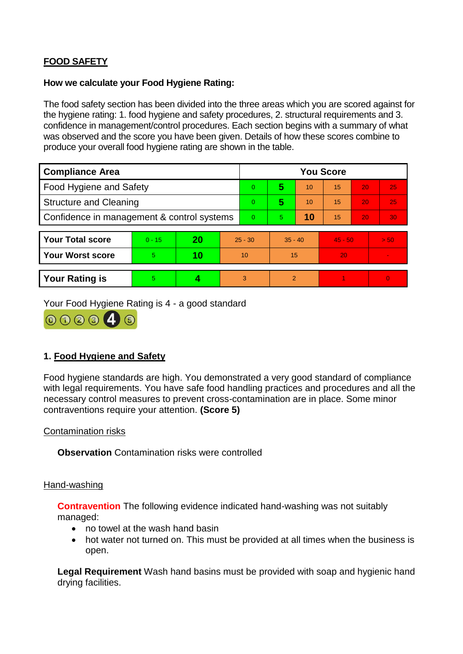# **FOOD SAFETY**

### **How we calculate your Food Hygiene Rating:**

The food safety section has been divided into the three areas which you are scored against for the hygiene rating: 1. food hygiene and safety procedures, 2. structural requirements and 3. confidence in management/control procedures. Each section begins with a summary of what was observed and the score you have been given. Details of how these scores combine to produce your overall food hygiene rating are shown in the table.

| <b>Compliance Area</b>                     |          |    |           | <b>You Score</b> |                |    |           |    |                |  |  |
|--------------------------------------------|----------|----|-----------|------------------|----------------|----|-----------|----|----------------|--|--|
| Food Hygiene and Safety                    |          |    |           | $\Omega$         | 5              | 10 | 15        | 20 | 25             |  |  |
| <b>Structure and Cleaning</b>              |          |    |           | $\Omega$         | 5              | 10 | 15        | 20 | 25             |  |  |
| Confidence in management & control systems |          |    |           | $\Omega$         | $\overline{5}$ | 10 | 15        | 20 | 30             |  |  |
|                                            |          |    |           |                  |                |    |           |    |                |  |  |
| <b>Your Total score</b>                    | $0 - 15$ | 20 | $25 - 30$ |                  | $35 - 40$      |    | $45 - 50$ |    | > 50           |  |  |
| <b>Your Worst score</b>                    | 5.       | 10 | 10        |                  | 15             |    | 20        |    | $\blacksquare$ |  |  |
|                                            |          |    |           |                  |                |    |           |    |                |  |  |
| <b>Your Rating is</b>                      | 5        |    |           | 3                | 2              |    |           |    | $\overline{0}$ |  |  |

Your Food Hygiene Rating is 4 - a good standard



## **1. Food Hygiene and Safety**

Food hygiene standards are high. You demonstrated a very good standard of compliance with legal requirements. You have safe food handling practices and procedures and all the necessary control measures to prevent cross-contamination are in place. Some minor contraventions require your attention. **(Score 5)**

Contamination risks

**Observation** Contamination risks were controlled

#### Hand-washing

**Contravention** The following evidence indicated hand-washing was not suitably managed:

- no towel at the wash hand basin
- hot water not turned on. This must be provided at all times when the business is open.

**Legal Requirement** Wash hand basins must be provided with soap and hygienic hand drying facilities.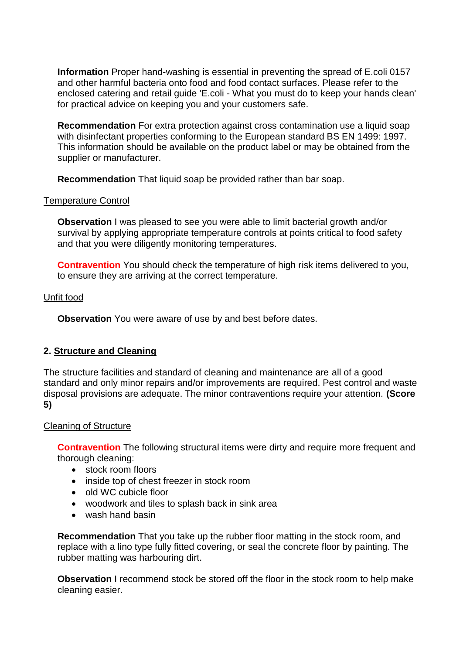**Information** Proper hand-washing is essential in preventing the spread of E.coli 0157 and other harmful bacteria onto food and food contact surfaces. Please refer to the enclosed catering and retail guide 'E.coli - What you must do to keep your hands clean' for practical advice on keeping you and your customers safe.

**Recommendation** For extra protection against cross contamination use a liquid soap with disinfectant properties conforming to the European standard BS EN 1499: 1997. This information should be available on the product label or may be obtained from the supplier or manufacturer.

**Recommendation** That liquid soap be provided rather than bar soap.

### Temperature Control

**Observation** I was pleased to see you were able to limit bacterial growth and/or survival by applying appropriate temperature controls at points critical to food safety and that you were diligently monitoring temperatures.

**Contravention** You should check the temperature of high risk items delivered to you, to ensure they are arriving at the correct temperature.

### Unfit food

**Observation** You were aware of use by and best before dates.

## **2. Structure and Cleaning**

The structure facilities and standard of cleaning and maintenance are all of a good standard and only minor repairs and/or improvements are required. Pest control and waste disposal provisions are adequate. The minor contraventions require your attention. **(Score 5)**

#### Cleaning of Structure

**Contravention** The following structural items were dirty and require more frequent and thorough cleaning:

- stock room floors
- inside top of chest freezer in stock room
- old WC cubicle floor
- woodwork and tiles to splash back in sink area
- wash hand basin

**Recommendation** That you take up the rubber floor matting in the stock room, and replace with a lino type fully fitted covering, or seal the concrete floor by painting. The rubber matting was harbouring dirt.

**Observation** I recommend stock be stored off the floor in the stock room to help make cleaning easier.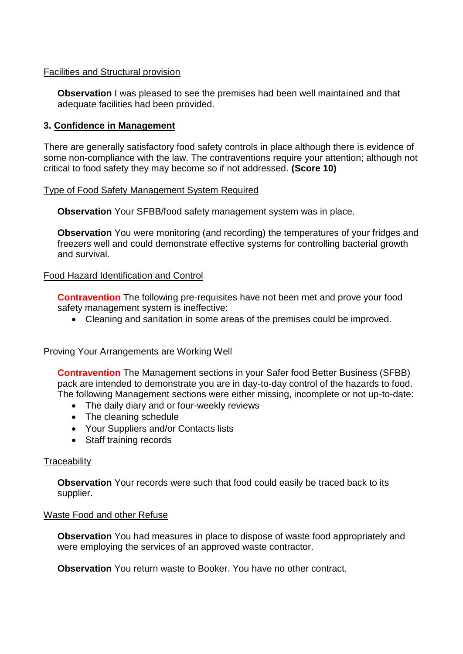### Facilities and Structural provision

**Observation** I was pleased to see the premises had been well maintained and that adequate facilities had been provided.

## **3. Confidence in Management**

There are generally satisfactory food safety controls in place although there is evidence of some non-compliance with the law. The contraventions require your attention; although not critical to food safety they may become so if not addressed. **(Score 10)**

## Type of Food Safety Management System Required

**Observation** Your SFBB/food safety management system was in place.

**Observation** You were monitoring (and recording) the temperatures of your fridges and freezers well and could demonstrate effective systems for controlling bacterial growth and survival.

## Food Hazard Identification and Control

**Contravention** The following pre-requisites have not been met and prove your food safety management system is ineffective:

Cleaning and sanitation in some areas of the premises could be improved.

#### Proving Your Arrangements are Working Well

**Contravention** The Management sections in your Safer food Better Business (SFBB) pack are intended to demonstrate you are in day-to-day control of the hazards to food. The following Management sections were either missing, incomplete or not up-to-date:

- The daily diary and or four-weekly reviews
- The cleaning schedule
- Your Suppliers and/or Contacts lists
- Staff training records

## **Traceability**

**Observation** Your records were such that food could easily be traced back to its supplier.

#### Waste Food and other Refuse

**Observation** You had measures in place to dispose of waste food appropriately and were employing the services of an approved waste contractor.

**Observation** You return waste to Booker. You have no other contract.